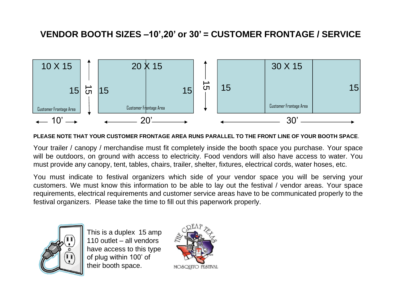## **VENDOR BOOTH SIZES –10',20' or 30' = CUSTOMER FRONTAGE / SERVICE**



## **PLEASE NOTE THAT YOUR CUSTOMER FRONTAGE AREA RUNS PARALLEL TO THE FRONT LINE OF YOUR BOOTH SPACE**.

Your trailer / canopy / merchandise must fit completely inside the booth space you purchase. Your space will be outdoors, on ground with access to electricity. Food vendors will also have access to water. You must provide any canopy, tent, tables, chairs, trailer, shelter, fixtures, electrical cords, water hoses, etc.

You must indicate to festival organizers which side of your vendor space you will be serving your customers. We must know this information to be able to lay out the festival / vendor areas. Your space requirements, electrical requirements and customer service areas have to be communicated properly to the festival organizers. Please take the time to fill out this paperwork properly.



This is a duplex 15 amp 110 outlet – all vendors have access to this type of plug within 100' of their booth space.